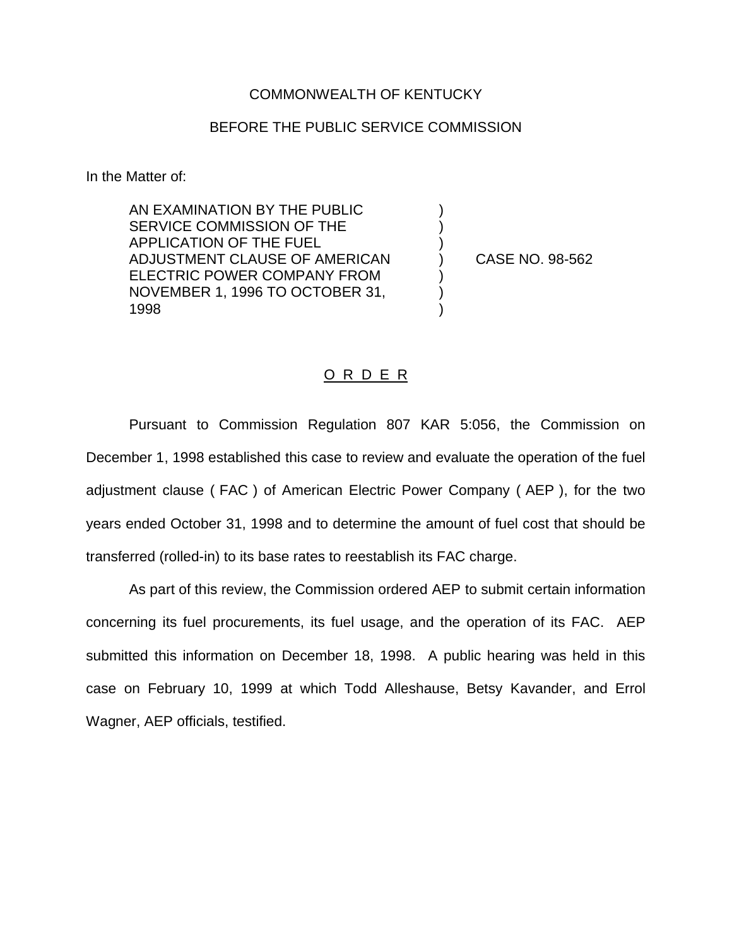## COMMONWEALTH OF KENTUCKY

## BEFORE THE PUBLIC SERVICE COMMISSION

) ) )

) ) )

In the Matter of:

AN EXAMINATION BY THE PUBLIC SERVICE COMMISSION OF THE APPLICATION OF THE FUEL ADJUSTMENT CLAUSE OF AMERICAN ELECTRIC POWER COMPANY FROM NOVEMBER 1, 1996 TO OCTOBER 31, 1998

) CASE NO. 98-562

## O R D E R

Pursuant to Commission Regulation 807 KAR 5:056, the Commission on December 1, 1998 established this case to review and evaluate the operation of the fuel adjustment clause ( FAC ) of American Electric Power Company ( AEP ), for the two years ended October 31, 1998 and to determine the amount of fuel cost that should be transferred (rolled-in) to its base rates to reestablish its FAC charge.

As part of this review, the Commission ordered AEP to submit certain information concerning its fuel procurements, its fuel usage, and the operation of its FAC. AEP submitted this information on December 18, 1998. A public hearing was held in this case on February 10, 1999 at which Todd Alleshause, Betsy Kavander, and Errol Wagner, AEP officials, testified.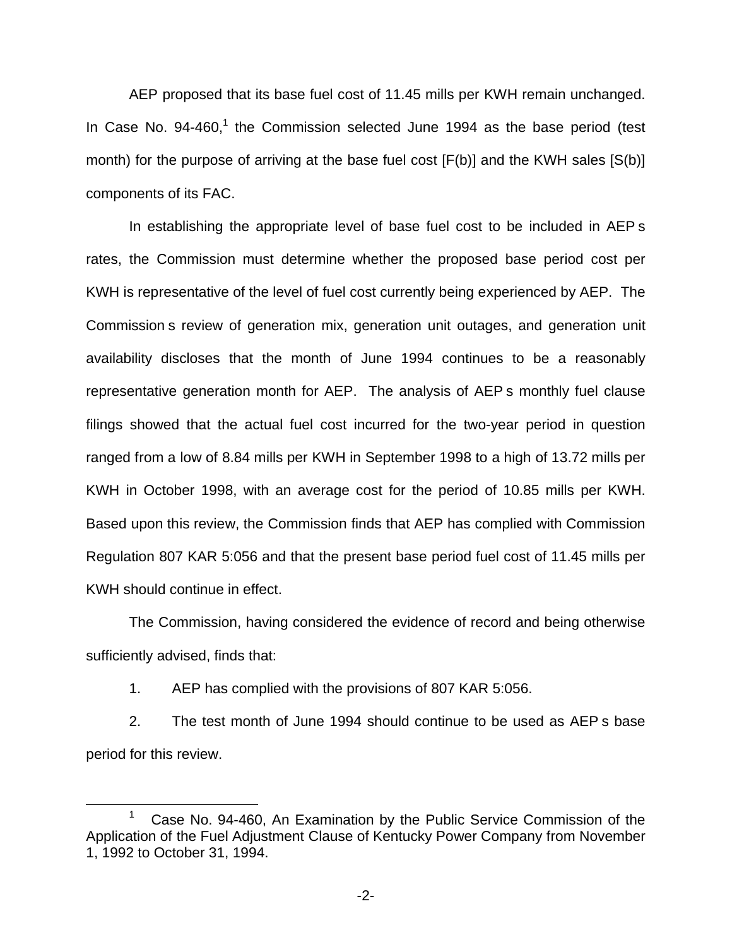AEP proposed that its base fuel cost of 11.45 mills per KWH remain unchanged. In Case No.  $94-460$ ,<sup>1</sup> the Commission selected June 1994 as the base period (test month) for the purpose of arriving at the base fuel cost [F(b)] and the KWH sales [S(b)] components of its FAC.

In establishing the appropriate level of base fuel cost to be included in AEP s rates, the Commission must determine whether the proposed base period cost per KWH is representative of the level of fuel cost currently being experienced by AEP. The Commission s review of generation mix, generation unit outages, and generation unit availability discloses that the month of June 1994 continues to be a reasonably representative generation month for AEP. The analysis of AEP s monthly fuel clause filings showed that the actual fuel cost incurred for the two-year period in question ranged from a low of 8.84 mills per KWH in September 1998 to a high of 13.72 mills per KWH in October 1998, with an average cost for the period of 10.85 mills per KWH. Based upon this review, the Commission finds that AEP has complied with Commission Regulation 807 KAR 5:056 and that the present base period fuel cost of 11.45 mills per KWH should continue in effect.

The Commission, having considered the evidence of record and being otherwise sufficiently advised, finds that:

1. AEP has complied with the provisions of 807 KAR 5:056.

2. The test month of June 1994 should continue to be used as AEP s base period for this review.

<sup>&</sup>lt;sup>1</sup> Case No. 94-460, An Examination by the Public Service Commission of the Application of the Fuel Adjustment Clause of Kentucky Power Company from November 1, 1992 to October 31, 1994.